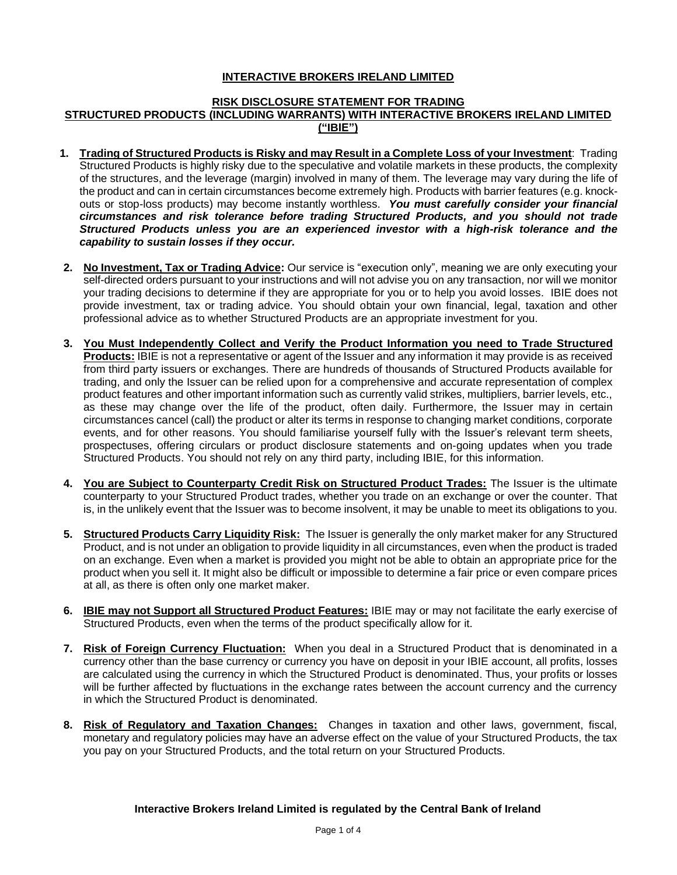# **INTERACTIVE BROKERS IRELAND LIMITED**

#### **RISK DISCLOSURE STATEMENT FOR TRADING STRUCTURED PRODUCTS (INCLUDING WARRANTS) WITH INTERACTIVE BROKERS IRELAND LIMITED ("IBIE")**

- **1. Trading of Structured Products is Risky and may Result in a Complete Loss of your Investment**: Trading Structured Products is highly risky due to the speculative and volatile markets in these products, the complexity of the structures, and the leverage (margin) involved in many of them. The leverage may vary during the life of the product and can in certain circumstances become extremely high. Products with barrier features (e.g. knockouts or stop-loss products) may become instantly worthless. *You must carefully consider your financial circumstances and risk tolerance before trading Structured Products, and you should not trade Structured Products unless you are an experienced investor with a high-risk tolerance and the capability to sustain losses if they occur.*
- **2. No Investment, Tax or Trading Advice:** Our service is "execution only", meaning we are only executing your self-directed orders pursuant to your instructions and will not advise you on any transaction, nor will we monitor your trading decisions to determine if they are appropriate for you or to help you avoid losses. IBIE does not provide investment, tax or trading advice. You should obtain your own financial, legal, taxation and other professional advice as to whether Structured Products are an appropriate investment for you.
- **3. You Must Independently Collect and Verify the Product Information you need to Trade Structured Products:** IBIE is not a representative or agent of the Issuer and any information it may provide is as received from third party issuers or exchanges. There are hundreds of thousands of Structured Products available for trading, and only the Issuer can be relied upon for a comprehensive and accurate representation of complex product features and other important information such as currently valid strikes, multipliers, barrier levels, etc., as these may change over the life of the product, often daily. Furthermore, the Issuer may in certain circumstances cancel (call) the product or alter its terms in response to changing market conditions, corporate events, and for other reasons. You should familiarise yourself fully with the Issuer's relevant term sheets, prospectuses, offering circulars or product disclosure statements and on-going updates when you trade Structured Products. You should not rely on any third party, including IBIE, for this information.
- **4. You are Subject to Counterparty Credit Risk on Structured Product Trades:** The Issuer is the ultimate counterparty to your Structured Product trades, whether you trade on an exchange or over the counter. That is, in the unlikely event that the Issuer was to become insolvent, it may be unable to meet its obligations to you.
- **5. Structured Products Carry Liquidity Risk:** The Issuer is generally the only market maker for any Structured Product, and is not under an obligation to provide liquidity in all circumstances, even when the product is traded on an exchange. Even when a market is provided you might not be able to obtain an appropriate price for the product when you sell it. It might also be difficult or impossible to determine a fair price or even compare prices at all, as there is often only one market maker.
- **6. IBIE may not Support all Structured Product Features:** IBIE may or may not facilitate the early exercise of Structured Products, even when the terms of the product specifically allow for it.
- **7. Risk of Foreign Currency Fluctuation:** When you deal in a Structured Product that is denominated in a currency other than the base currency or currency you have on deposit in your IBIE account, all profits, losses are calculated using the currency in which the Structured Product is denominated. Thus, your profits or losses will be further affected by fluctuations in the exchange rates between the account currency and the currency in which the Structured Product is denominated.
- **8. Risk of Regulatory and Taxation Changes:** Changes in taxation and other laws, government, fiscal, monetary and regulatory policies may have an adverse effect on the value of your Structured Products, the tax you pay on your Structured Products, and the total return on your Structured Products.

#### **Interactive Brokers Ireland Limited is regulated by the Central Bank of Ireland**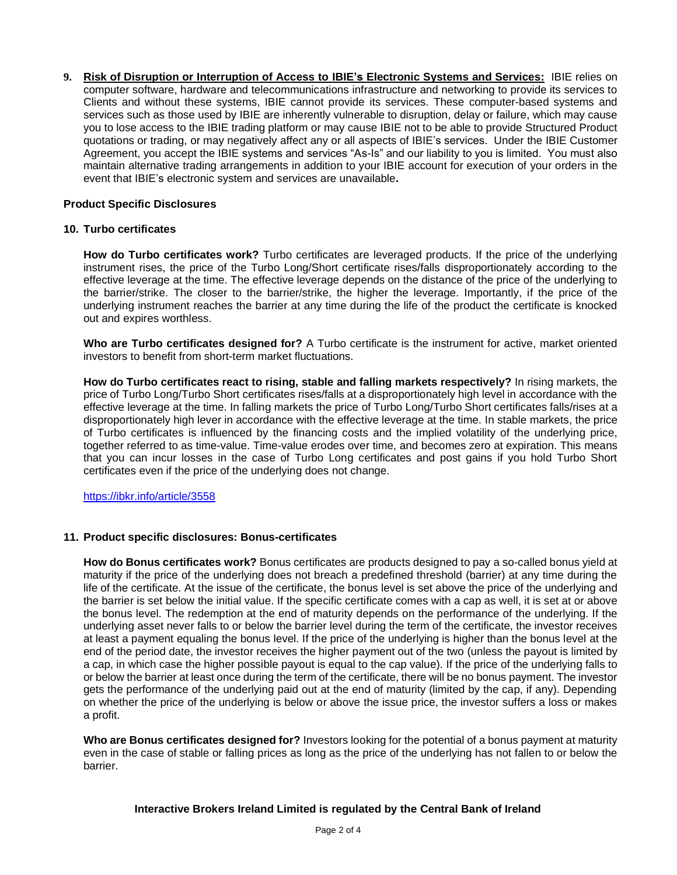**9. Risk of Disruption or Interruption of Access to IBIE's Electronic Systems and Services:** IBIE relies on computer software, hardware and telecommunications infrastructure and networking to provide its services to Clients and without these systems, IBIE cannot provide its services. These computer-based systems and services such as those used by IBIE are inherently vulnerable to disruption, delay or failure, which may cause you to lose access to the IBIE trading platform or may cause IBIE not to be able to provide Structured Product quotations or trading, or may negatively affect any or all aspects of IBIE's services. Under the IBIE Customer Agreement, you accept the IBIE systems and services "As-Is" and our liability to you is limited. You must also maintain alternative trading arrangements in addition to your IBIE account for execution of your orders in the event that IBIE's electronic system and services are unavailable**.**

## **Product Specific Disclosures**

#### **10. Turbo certificates**

**How do Turbo certificates work?** Turbo certificates are leveraged products. If the price of the underlying instrument rises, the price of the Turbo Long/Short certificate rises/falls disproportionately according to the effective leverage at the time. The effective leverage depends on the distance of the price of the underlying to the barrier/strike. The closer to the barrier/strike, the higher the leverage. Importantly, if the price of the underlying instrument reaches the barrier at any time during the life of the product the certificate is knocked out and expires worthless.

**Who are Turbo certificates designed for?** A Turbo certificate is the instrument for active, market oriented investors to benefit from short-term market fluctuations.

**How do Turbo certificates react to rising, stable and falling markets respectively?** In rising markets, the price of Turbo Long/Turbo Short certificates rises/falls at a disproportionately high level in accordance with the effective leverage at the time. In falling markets the price of Turbo Long/Turbo Short certificates falls/rises at a disproportionately high lever in accordance with the effective leverage at the time. In stable markets, the price of Turbo certificates is influenced by the financing costs and the implied volatility of the underlying price, together referred to as time-value. Time-value erodes over time, and becomes zero at expiration. This means that you can incur losses in the case of Turbo Long certificates and post gains if you hold Turbo Short certificates even if the price of the underlying does not change.

<https://ibkr.info/article/3558>

#### **11. Product specific disclosures: Bonus-certificates**

**How do Bonus certificates work?** Bonus certificates are products designed to pay a so-called bonus yield at maturity if the price of the underlying does not breach a predefined threshold (barrier) at any time during the life of the certificate. At the issue of the certificate, the bonus level is set above the price of the underlying and the barrier is set below the initial value. If the specific certificate comes with a cap as well, it is set at or above the bonus level. The redemption at the end of maturity depends on the performance of the underlying. If the underlying asset never falls to or below the barrier level during the term of the certificate, the investor receives at least a payment equaling the bonus level. If the price of the underlying is higher than the bonus level at the end of the period date, the investor receives the higher payment out of the two (unless the payout is limited by a cap, in which case the higher possible payout is equal to the cap value). If the price of the underlying falls to or below the barrier at least once during the term of the certificate, there will be no bonus payment. The investor gets the performance of the underlying paid out at the end of maturity (limited by the cap, if any). Depending on whether the price of the underlying is below or above the issue price, the investor suffers a loss or makes a profit.

**Who are Bonus certificates designed for?** Investors looking for the potential of a bonus payment at maturity even in the case of stable or falling prices as long as the price of the underlying has not fallen to or below the barrier.

#### **Interactive Brokers Ireland Limited is regulated by the Central Bank of Ireland**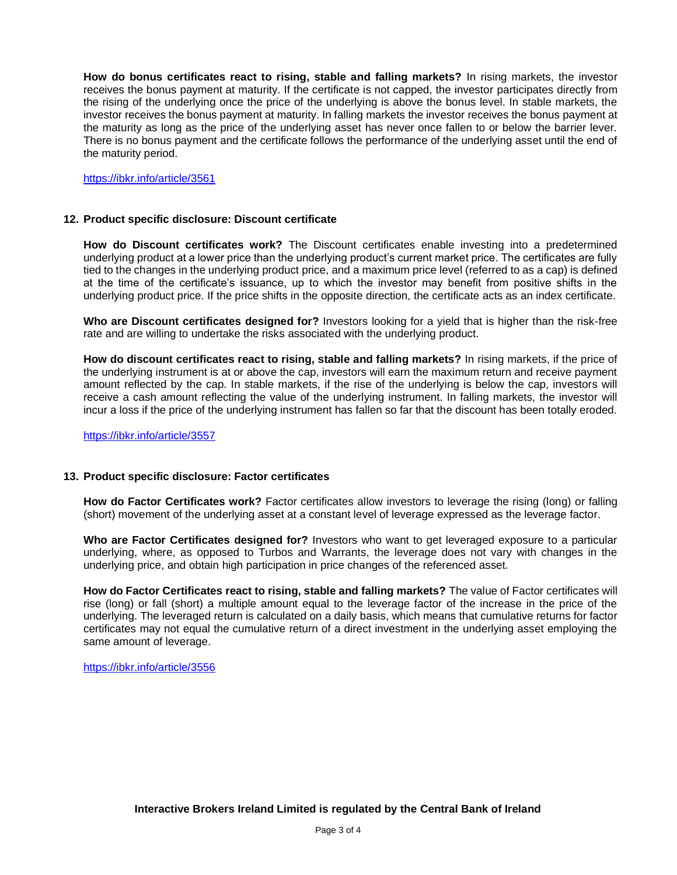**How do bonus certificates react to rising, stable and falling markets?** In rising markets, the investor receives the bonus payment at maturity. If the certificate is not capped, the investor participates directly from the rising of the underlying once the price of the underlying is above the bonus level. In stable markets, the investor receives the bonus payment at maturity. In falling markets the investor receives the bonus payment at the maturity as long as the price of the underlying asset has never once fallen to or below the barrier lever. There is no bonus payment and the certificate follows the performance of the underlying asset until the end of the maturity period.

<https://ibkr.info/article/3561>

#### **12. Product specific disclosure: Discount certificate**

**How do Discount certificates work?** The Discount certificates enable investing into a predetermined underlying product at a lower price than the underlying product's current market price. The certificates are fully tied to the changes in the underlying product price, and a maximum price level (referred to as a cap) is defined at the time of the certificate's issuance, up to which the investor may benefit from positive shifts in the underlying product price. If the price shifts in the opposite direction, the certificate acts as an index certificate.

**Who are Discount certificates designed for?** Investors looking for a yield that is higher than the risk-free rate and are willing to undertake the risks associated with the underlying product.

**How do discount certificates react to rising, stable and falling markets?** In rising markets, if the price of the underlying instrument is at or above the cap, investors will earn the maximum return and receive payment amount reflected by the cap. In stable markets, if the rise of the underlying is below the cap, investors will receive a cash amount reflecting the value of the underlying instrument. In falling markets, the investor will incur a loss if the price of the underlying instrument has fallen so far that the discount has been totally eroded.

<https://ibkr.info/article/3557>

#### **13. Product specific disclosure: Factor certificates**

**How do Factor Certificates work?** Factor certificates allow investors to leverage the rising (long) or falling (short) movement of the underlying asset at a constant level of leverage expressed as the leverage factor.

**Who are Factor Certificates designed for?** Investors who want to get leveraged exposure to a particular underlying, where, as opposed to Turbos and Warrants, the leverage does not vary with changes in the underlying price, and obtain high participation in price changes of the referenced asset.

**How do Factor Certificates react to rising, stable and falling markets?** The value of Factor certificates will rise (long) or fall (short) a multiple amount equal to the leverage factor of the increase in the price of the underlying. The leveraged return is calculated on a daily basis, which means that cumulative returns for factor certificates may not equal the cumulative return of a direct investment in the underlying asset employing the same amount of leverage.

<https://ibkr.info/article/3556>